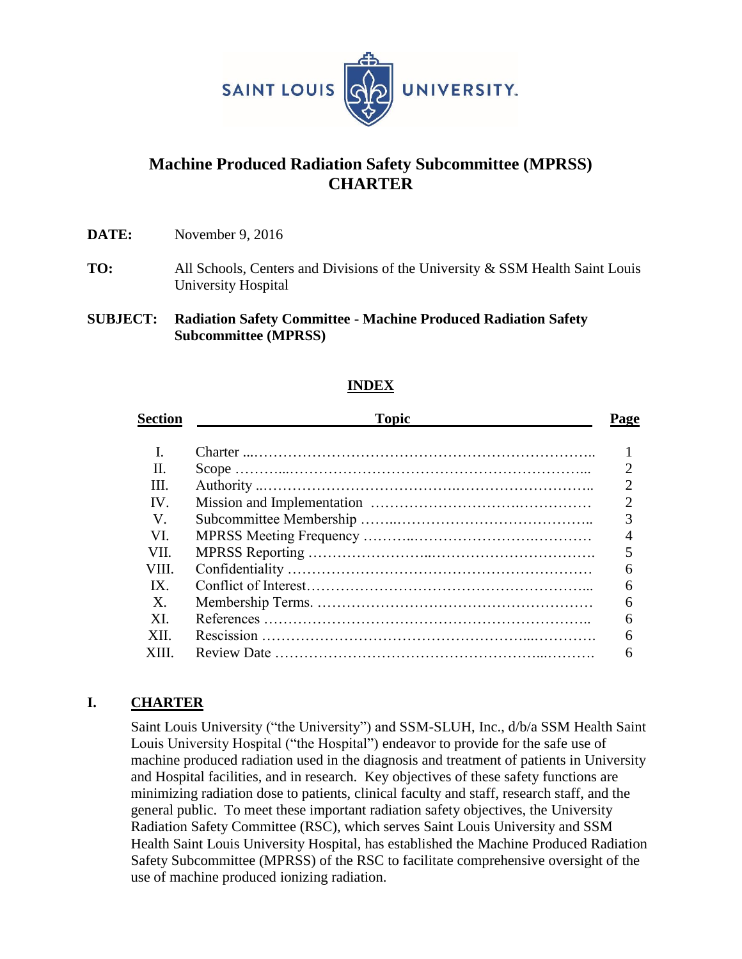

# **Machine Produced Radiation Safety Subcommittee (MPRSS) CHARTER**

**DATE:** November 9, 2016

- **TO:** All Schools, Centers and Divisions of the University & SSM Health Saint Louis University Hospital
- **SUBJECT: Radiation Safety Committee - Machine Produced Radiation Safety Subcommittee (MPRSS)**

## **INDEX**

| Section       | <b>Topic</b> | 'age |
|---------------|--------------|------|
|               |              |      |
| П.            |              |      |
| Ш.            |              | ာ    |
| $\mathbf{IV}$ |              |      |
| V.            |              | 3    |
| VL.           |              |      |
| VII.          |              |      |
| VIII.         |              |      |
| IX            |              |      |
| $X_{\cdot}$   |              |      |
| XI.           |              |      |
| XII.          |              |      |
|               |              |      |

## **I. CHARTER**

Saint Louis University ("the University") and SSM-SLUH, Inc., d/b/a SSM Health Saint Louis University Hospital ("the Hospital") endeavor to provide for the safe use of machine produced radiation used in the diagnosis and treatment of patients in University and Hospital facilities, and in research. Key objectives of these safety functions are minimizing radiation dose to patients, clinical faculty and staff, research staff, and the general public. To meet these important radiation safety objectives, the University Radiation Safety Committee (RSC), which serves Saint Louis University and SSM Health Saint Louis University Hospital, has established the Machine Produced Radiation Safety Subcommittee (MPRSS) of the RSC to facilitate comprehensive oversight of the use of machine produced ionizing radiation.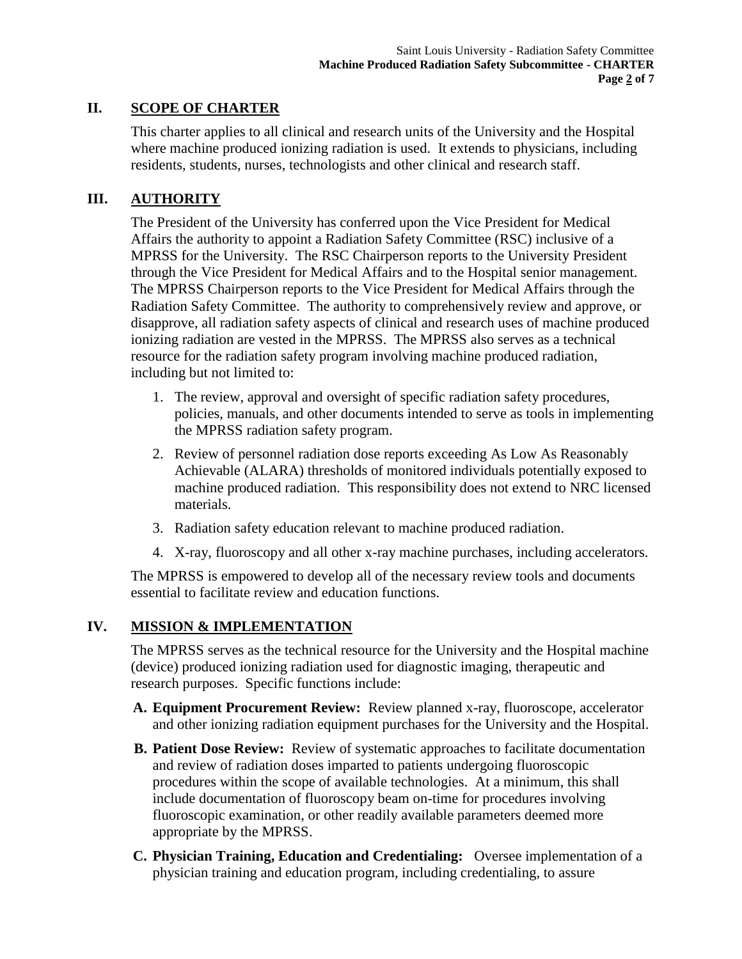## **II. SCOPE OF CHARTER**

This charter applies to all clinical and research units of the University and the Hospital where machine produced ionizing radiation is used. It extends to physicians, including residents, students, nurses, technologists and other clinical and research staff.

## **III. AUTHORITY**

The President of the University has conferred upon the Vice President for Medical Affairs the authority to appoint a Radiation Safety Committee (RSC) inclusive of a MPRSS for the University. The RSC Chairperson reports to the University President through the Vice President for Medical Affairs and to the Hospital senior management. The MPRSS Chairperson reports to the Vice President for Medical Affairs through the Radiation Safety Committee. The authority to comprehensively review and approve, or disapprove, all radiation safety aspects of clinical and research uses of machine produced ionizing radiation are vested in the MPRSS. The MPRSS also serves as a technical resource for the radiation safety program involving machine produced radiation, including but not limited to:

- 1. The review, approval and oversight of specific radiation safety procedures, policies, manuals, and other documents intended to serve as tools in implementing the MPRSS radiation safety program.
- 2. Review of personnel radiation dose reports exceeding As Low As Reasonably Achievable (ALARA) thresholds of monitored individuals potentially exposed to machine produced radiation. This responsibility does not extend to NRC licensed materials.
- 3. Radiation safety education relevant to machine produced radiation.
- 4. X-ray, fluoroscopy and all other x-ray machine purchases, including accelerators.

The MPRSS is empowered to develop all of the necessary review tools and documents essential to facilitate review and education functions.

## **IV. MISSION & IMPLEMENTATION**

The MPRSS serves as the technical resource for the University and the Hospital machine (device) produced ionizing radiation used for diagnostic imaging, therapeutic and research purposes. Specific functions include:

- **A. Equipment Procurement Review:** Review planned x-ray, fluoroscope, accelerator and other ionizing radiation equipment purchases for the University and the Hospital.
- **B. Patient Dose Review:** Review of systematic approaches to facilitate documentation and review of radiation doses imparted to patients undergoing fluoroscopic procedures within the scope of available technologies. At a minimum, this shall include documentation of fluoroscopy beam on-time for procedures involving fluoroscopic examination, or other readily available parameters deemed more appropriate by the MPRSS.
- **C. Physician Training, Education and Credentialing:** Oversee implementation of a physician training and education program, including credentialing, to assure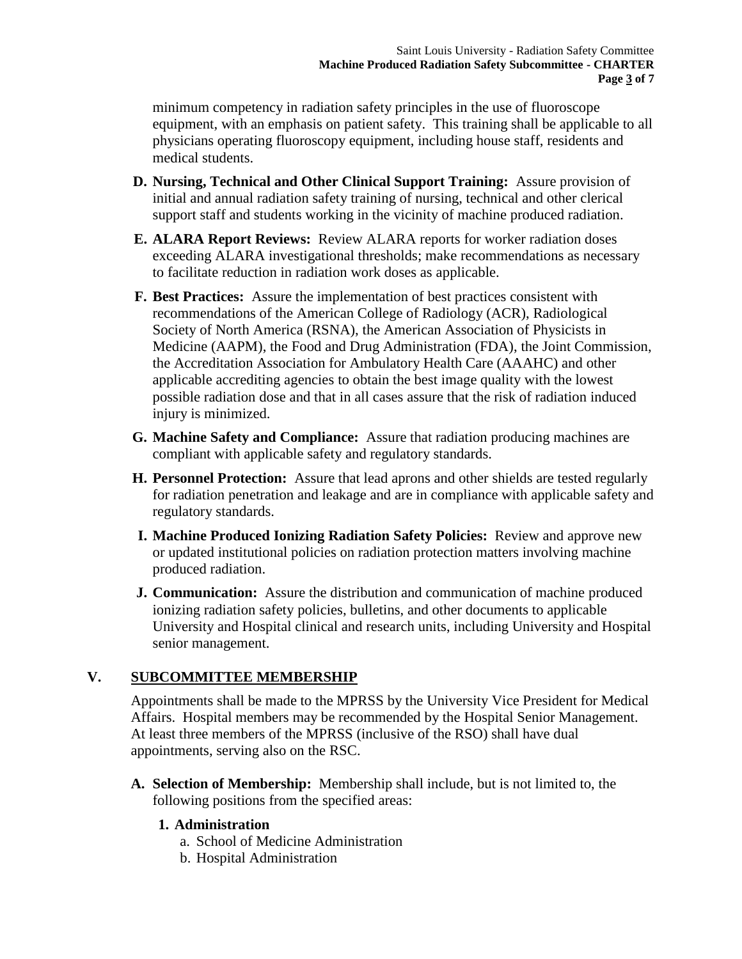minimum competency in radiation safety principles in the use of fluoroscope equipment, with an emphasis on patient safety. This training shall be applicable to all physicians operating fluoroscopy equipment, including house staff, residents and medical students.

- **D. Nursing, Technical and Other Clinical Support Training:** Assure provision of initial and annual radiation safety training of nursing, technical and other clerical support staff and students working in the vicinity of machine produced radiation.
- **E. ALARA Report Reviews:** Review ALARA reports for worker radiation doses exceeding ALARA investigational thresholds; make recommendations as necessary to facilitate reduction in radiation work doses as applicable.
- **F. Best Practices:** Assure the implementation of best practices consistent with recommendations of the American College of Radiology (ACR), Radiological Society of North America (RSNA), the American Association of Physicists in Medicine (AAPM), the Food and Drug Administration (FDA), the Joint Commission, the Accreditation Association for Ambulatory Health Care (AAAHC) and other applicable accrediting agencies to obtain the best image quality with the lowest possible radiation dose and that in all cases assure that the risk of radiation induced injury is minimized.
- **G. Machine Safety and Compliance:** Assure that radiation producing machines are compliant with applicable safety and regulatory standards.
- **H. Personnel Protection:** Assure that lead aprons and other shields are tested regularly for radiation penetration and leakage and are in compliance with applicable safety and regulatory standards.
- **I. Machine Produced Ionizing Radiation Safety Policies:** Review and approve new or updated institutional policies on radiation protection matters involving machine produced radiation.
- **J. Communication:** Assure the distribution and communication of machine produced ionizing radiation safety policies, bulletins, and other documents to applicable University and Hospital clinical and research units, including University and Hospital senior management.

## **V. SUBCOMMITTEE MEMBERSHIP**

Appointments shall be made to the MPRSS by the University Vice President for Medical Affairs. Hospital members may be recommended by the Hospital Senior Management. At least three members of the MPRSS (inclusive of the RSO) shall have dual appointments, serving also on the RSC.

**A. Selection of Membership:** Membership shall include, but is not limited to, the following positions from the specified areas:

## **1. Administration**

- a. School of Medicine Administration
- b. Hospital Administration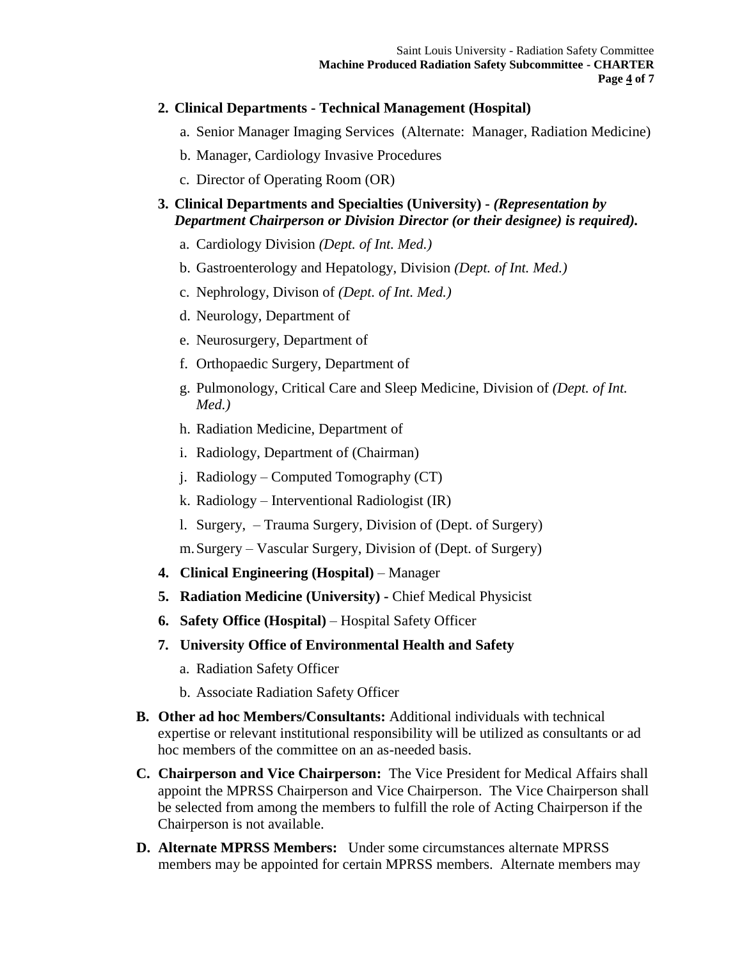#### **2. Clinical Departments - Technical Management (Hospital)**

a. Senior Manager Imaging Services (Alternate: Manager, Radiation Medicine)

- b. Manager, Cardiology Invasive Procedures
- c. Director of Operating Room (OR)

## **3. Clinical Departments and Specialties (University) -** *(Representation by Department Chairperson or Division Director (or their designee) is required).*

- a. Cardiology Division *(Dept. of Int. Med.)*
- b. Gastroenterology and Hepatology, Division *(Dept. of Int. Med.)*
- c. Nephrology, Divison of *(Dept. of Int. Med.)*
- d. Neurology, Department of
- e. Neurosurgery, Department of
- f. Orthopaedic Surgery, Department of
- g. Pulmonology, Critical Care and Sleep Medicine, Division of *(Dept. of Int. Med.)*
- h. Radiation Medicine, Department of
- i. Radiology, Department of (Chairman)
- j. Radiology Computed Tomography (CT)
- k. Radiology Interventional Radiologist (IR)
- l. Surgery, Trauma Surgery, Division of (Dept. of Surgery)

m.Surgery – Vascular Surgery, Division of (Dept. of Surgery)

- **4. Clinical Engineering (Hospital)** Manager
- **5. Radiation Medicine (University) -** Chief Medical Physicist
- **6. Safety Office (Hospital)**  Hospital Safety Officer
- **7. University Office of Environmental Health and Safety**
	- a. Radiation Safety Officer
	- b. Associate Radiation Safety Officer
- **B. Other ad hoc Members/Consultants:** Additional individuals with technical expertise or relevant institutional responsibility will be utilized as consultants or ad hoc members of the committee on an as-needed basis.
- **C. Chairperson and Vice Chairperson:** The Vice President for Medical Affairs shall appoint the MPRSS Chairperson and Vice Chairperson. The Vice Chairperson shall be selected from among the members to fulfill the role of Acting Chairperson if the Chairperson is not available.
- **D. Alternate MPRSS Members:** Under some circumstances alternate MPRSS members may be appointed for certain MPRSS members. Alternate members may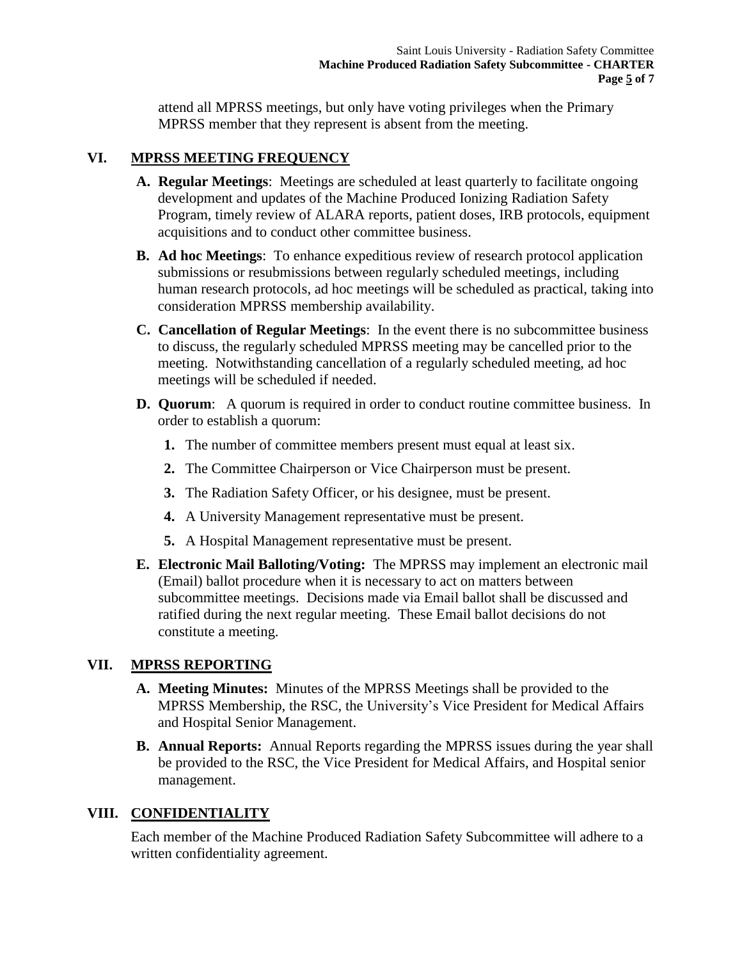attend all MPRSS meetings, but only have voting privileges when the Primary MPRSS member that they represent is absent from the meeting.

## **VI. MPRSS MEETING FREQUENCY**

- **A. Regular Meetings**: Meetings are scheduled at least quarterly to facilitate ongoing development and updates of the Machine Produced Ionizing Radiation Safety Program, timely review of ALARA reports, patient doses, IRB protocols, equipment acquisitions and to conduct other committee business.
- **B. Ad hoc Meetings**: To enhance expeditious review of research protocol application submissions or resubmissions between regularly scheduled meetings, including human research protocols, ad hoc meetings will be scheduled as practical, taking into consideration MPRSS membership availability.
- **C. Cancellation of Regular Meetings**: In the event there is no subcommittee business to discuss, the regularly scheduled MPRSS meeting may be cancelled prior to the meeting. Notwithstanding cancellation of a regularly scheduled meeting, ad hoc meetings will be scheduled if needed.
- **D.** Quorum: A quorum is required in order to conduct routine committee business. In order to establish a quorum:
	- **1.** The number of committee members present must equal at least six.
	- **2.** The Committee Chairperson or Vice Chairperson must be present.
	- **3.** The Radiation Safety Officer, or his designee, must be present.
	- **4.** A University Management representative must be present.
	- **5.** A Hospital Management representative must be present.
- **E. Electronic Mail Balloting/Voting:** The MPRSS may implement an electronic mail (Email) ballot procedure when it is necessary to act on matters between subcommittee meetings. Decisions made via Email ballot shall be discussed and ratified during the next regular meeting. These Email ballot decisions do not constitute a meeting.

## **VII. MPRSS REPORTING**

- **A. Meeting Minutes:** Minutes of the MPRSS Meetings shall be provided to the MPRSS Membership, the RSC, the University's Vice President for Medical Affairs and Hospital Senior Management.
- **B. Annual Reports:** Annual Reports regarding the MPRSS issues during the year shall be provided to the RSC, the Vice President for Medical Affairs, and Hospital senior management.

## **VIII. CONFIDENTIALITY**

Each member of the Machine Produced Radiation Safety Subcommittee will adhere to a written confidentiality agreement.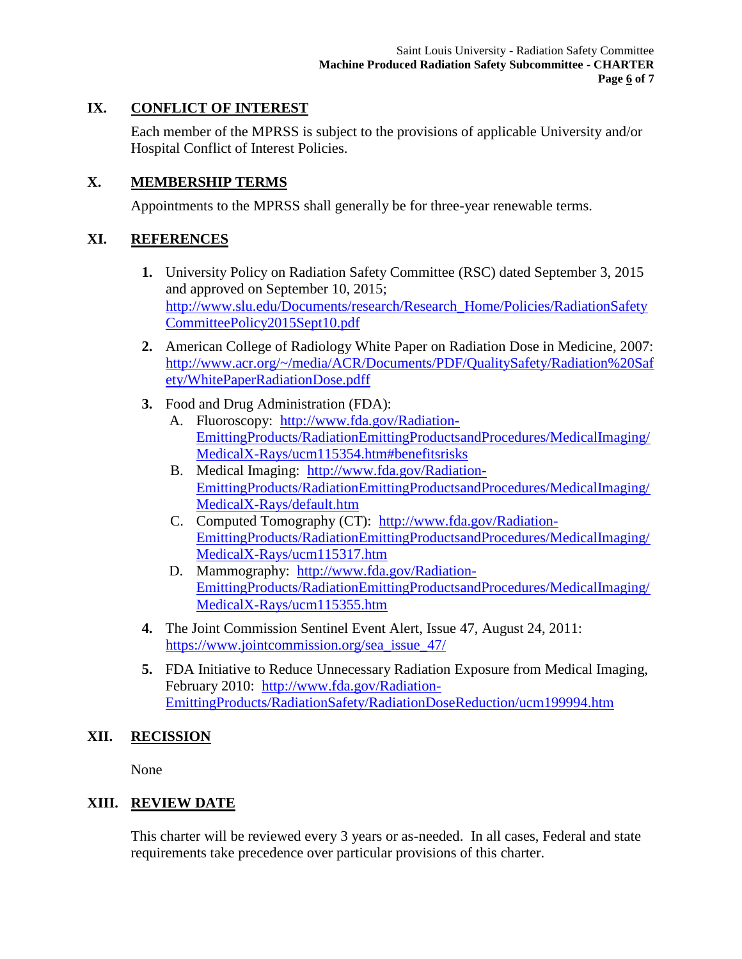## **IX. CONFLICT OF INTEREST**

Each member of the MPRSS is subject to the provisions of applicable University and/or Hospital Conflict of Interest Policies.

## **X. MEMBERSHIP TERMS**

Appointments to the MPRSS shall generally be for three-year renewable terms.

## **XI. REFERENCES**

- **1.** University Policy on Radiation Safety Committee (RSC) dated September 3, 2015 and approved on September 10, 2015; [http://www.slu.edu/Documents/research/Research\\_Home/Policies/RadiationSafety](http://www.slu.edu/Documents/research/Research_Home/Policies/RadiationSafetyCommitteePolicy2015Sept10.pdf) [CommitteePolicy2015Sept10.pdf](http://www.slu.edu/Documents/research/Research_Home/Policies/RadiationSafetyCommitteePolicy2015Sept10.pdf)
- **2.** American College of Radiology White Paper on Radiation Dose in Medicine, 2007: [http://www.acr.org/~/media/ACR/Documents/PDF/QualitySafety/Radiation%20Saf](http://www.acr.org/~/media/ACR/Documents/PDF/QualitySafety/Radiation%20Safety/WhitePaperRadiationDose.pdff) [ety/WhitePaperRadiationDose.pdff](http://www.acr.org/~/media/ACR/Documents/PDF/QualitySafety/Radiation%20Safety/WhitePaperRadiationDose.pdff)
- **3.** Food and Drug Administration (FDA):
	- A. Fluoroscopy: [http://www.fda.gov/Radiation-](http://www.fda.gov/Radiation-EmittingProducts/RadiationEmittingProductsandProcedures/MedicalImaging/MedicalX-Rays/ucm115354.htm#benefitsrisks)[EmittingProducts/RadiationEmittingProductsandProcedures/MedicalImaging/](http://www.fda.gov/Radiation-EmittingProducts/RadiationEmittingProductsandProcedures/MedicalImaging/MedicalX-Rays/ucm115354.htm#benefitsrisks) [MedicalX-Rays/ucm115354.htm#benefitsrisks](http://www.fda.gov/Radiation-EmittingProducts/RadiationEmittingProductsandProcedures/MedicalImaging/MedicalX-Rays/ucm115354.htm#benefitsrisks)
	- B. Medical Imaging: [http://www.fda.gov/Radiation-](http://www.fda.gov/Radiation-EmittingProducts/RadiationEmittingProductsandProcedures/MedicalImaging/MedicalX-Rays/default.htm)[EmittingProducts/RadiationEmittingProductsandProcedures/MedicalImaging/](http://www.fda.gov/Radiation-EmittingProducts/RadiationEmittingProductsandProcedures/MedicalImaging/MedicalX-Rays/default.htm) [MedicalX-Rays/default.htm](http://www.fda.gov/Radiation-EmittingProducts/RadiationEmittingProductsandProcedures/MedicalImaging/MedicalX-Rays/default.htm)
	- C. Computed Tomography (CT): [http://www.fda.gov/Radiation-](http://www.fda.gov/Radiation-EmittingProducts/RadiationEmittingProductsandProcedures/MedicalImaging/MedicalX-Rays/ucm115317.htm)[EmittingProducts/RadiationEmittingProductsandProcedures/MedicalImaging/](http://www.fda.gov/Radiation-EmittingProducts/RadiationEmittingProductsandProcedures/MedicalImaging/MedicalX-Rays/ucm115317.htm) [MedicalX-Rays/ucm115317.htm](http://www.fda.gov/Radiation-EmittingProducts/RadiationEmittingProductsandProcedures/MedicalImaging/MedicalX-Rays/ucm115317.htm)
	- D. Mammography: [http://www.fda.gov/Radiation-](http://www.fda.gov/Radiation-EmittingProducts/RadiationEmittingProductsandProcedures/MedicalImaging/MedicalX-Rays/ucm115355.htm)[EmittingProducts/RadiationEmittingProductsandProcedures/MedicalImaging/](http://www.fda.gov/Radiation-EmittingProducts/RadiationEmittingProductsandProcedures/MedicalImaging/MedicalX-Rays/ucm115355.htm) [MedicalX-Rays/ucm115355.htm](http://www.fda.gov/Radiation-EmittingProducts/RadiationEmittingProductsandProcedures/MedicalImaging/MedicalX-Rays/ucm115355.htm)
- **4.** The Joint Commission Sentinel Event Alert, Issue 47, August 24, 2011: [https://www.jointcommission.org/sea\\_issue\\_47/](https://www.jointcommission.org/sea_issue_47/)
- **5.** FDA Initiative to Reduce Unnecessary Radiation Exposure from Medical Imaging, February 2010: [http://www.fda.gov/Radiation-](http://www.fda.gov/Radiation-EmittingProducts/RadiationSafety/RadiationDoseReduction/ucm199994.htm)[EmittingProducts/RadiationSafety/RadiationDoseReduction/ucm199994.htm](http://www.fda.gov/Radiation-EmittingProducts/RadiationSafety/RadiationDoseReduction/ucm199994.htm)

## **XII. RECISSION**

None

## **XIII. REVIEW DATE**

This charter will be reviewed every 3 years or as-needed. In all cases, Federal and state requirements take precedence over particular provisions of this charter.